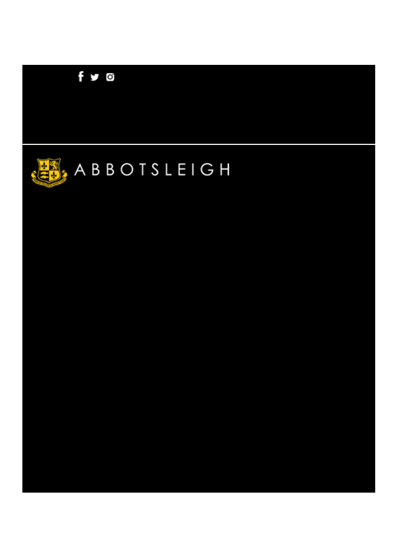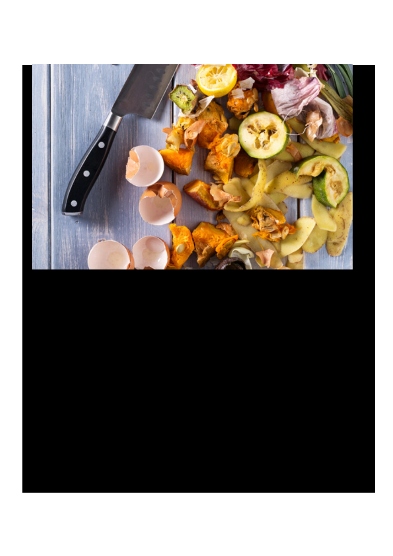